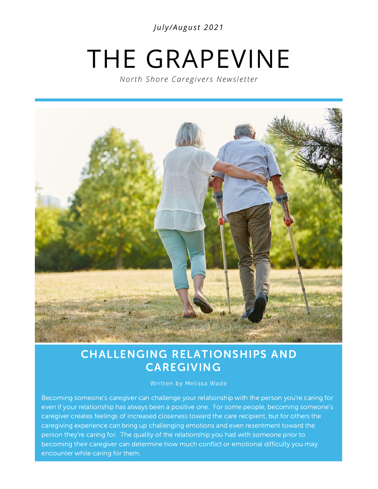*Jul y /Augus t 2021*

# THE GRAPEVINE

*North Shore Caregivers Newsletter* 



### CHALLENGING RELATIONSHIPS AND CAREGIVING

#### Written by Melissa Wade

Becoming someone's caregiver can challenge your relationship with the person you're caring for even if your relationship has always been a positive one. For some people, becoming someone's caregiver creates feelings of increased closeness toward the care recipient, but for others the caregiving experience can bring up challenging emotions and even resentment toward the person they're caring for. The quality of the relationship you had with someone prior to becoming their caregiver can determine how much conflict or emotional difficulty you may encounter while caring for them.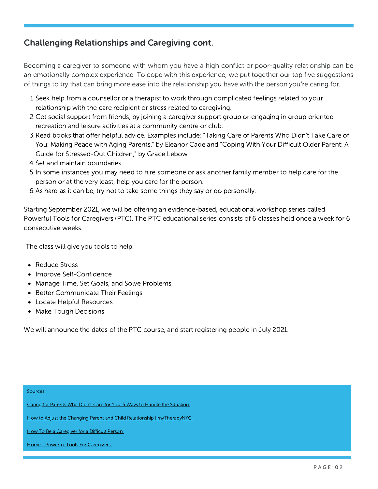#### Challenging Relationships and Caregiving cont.

Becoming a caregiver to someone with whom you have a high conflict or poor-quality relationship can be an emotionally complex experience. To cope with this experience, we put together our top five suggestions of things to try that can bring more ease into the relationship you have with the person you're caring for.

- 1. Seek help from a counsellor or a therapist to work through complicated feelings related to your relationship with the care recipient or stress related to caregiving.
- 2. Get social support from friends, by joining a caregiver support group or engaging in group oriented recreation and leisure activities at a community centre or club.
- 3. Read books that offer helpful advice. [Examples](https://amzn.to/2G9GvBR) include: "Taking Care of Parents Who Didn't Take Care of You: Making Peace with Aging Parents," by Eleanor Cade and "Coping With Your Difficult Older Parent: A Guide for [Stressed-Out](https://amzn.to/2TmS8Jp) Children," by Grace Lebow
- 4. Set and maintain boundaries
- 5. In some instances you may need to hire someone or ask another family member to help care for the person or at the very least, help you care for the person.
- 6. As hard as it can be, try not to take some things they say or do personally.

**Let yourself delve into the** Powerful Tools for Caregivers (PTC). The PTC educational series consists of 6 classes held once a week for 6 Starting September 2021, we will be offering an evidence-based, educational workshop series called consecutive weeks.

The class will give you tools to help:

- Reduce Stress
- Improve Self-Confidence
- Manage Time, Set Goals, and Solve Problems
- Better Communicate Their Feelings
- Locate Helpful Resources
- Make Tough Decisions

We will announce the dates of the PTC course, and start registering people in July 2021.

#### Sources:

Caring for Parents Who Didn't Care for You: 5 Ways to Handle the [Situation](https://dailycaring.com/caring-for-parents-who-didnt-care-for-you-5-ways-to-handle-the-situation/)

How to Adjust the Changing Parent and Child Relationship | [myTherapyNYC](https://mytherapynyc.com/adjust-changing-parent-child-relationship/)

How To Be a [Caregiver](https://seniornews.com/caregiver-difficult-person/) for a Difficult Person

Home - Powerful Tools For [Caregivers](https://www.powerfultoolsforcaregivers.org/)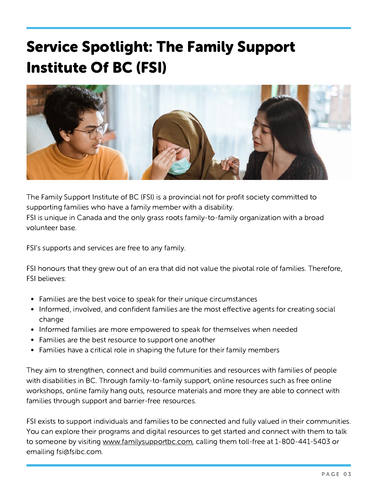# Service Spotlight: The Family Support Institute Of BC (FSI)



The Family Support Institute of BC (FSI) is a provincial not for profit society committed to supporting families who have a family member with a disability. FSI is unique in Canada and the only grass roots family-to-family organization with a broad volunteer base.

FSI's supports and services are free to any family.

FSI honours that they grew out of an era that did not value the pivotal role of families. Therefore, FSI believes:

- Families are the best voice to speak for their unique circumstances
- Informed, involved, and confident families are the most effective agents for creating social change
- Informed families are more empowered to speak for themselves when needed
- Families are the best resource to support one another
- Families have a critical role in shaping the future for their family members

They aim to strengthen, connect and build communities and resources with families of people with disabilities in BC. Through family-to-family support, online resources such as free online workshops, online family hang outs, resource materials and more they are able to connect with families through support and barrier-free resources.

FSI exists to support individuals and families to be connected and fully valued in their communities. You can explore their programs and digital resources to get started and connect with them to talk to someone by visiting [www.familysupportbc.com,](https://www.familysupportbc.com/) calling them toll-free at 1-800-441-5403 or emailing fsi@fsibc.com.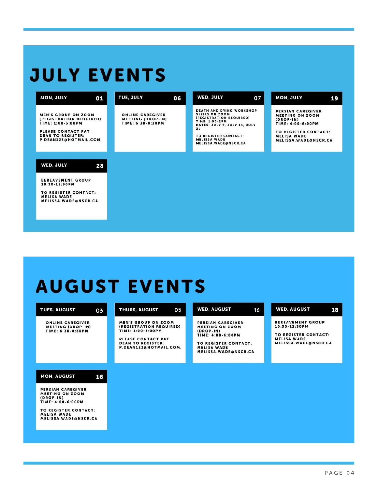# **JULY EVENTS**

| <b>MON, JULY</b><br>01                                                                                                                                | <b>TUE, JULY</b>                                                         | 06 | <b>WED, JULY</b>                                                                                                                                                                                                                 | 07 | <b>MON, JULY</b><br>19                                                                                                                                |
|-------------------------------------------------------------------------------------------------------------------------------------------------------|--------------------------------------------------------------------------|----|----------------------------------------------------------------------------------------------------------------------------------------------------------------------------------------------------------------------------------|----|-------------------------------------------------------------------------------------------------------------------------------------------------------|
| <b>MEN'S GROUP ON ZOOM</b><br>(REGISTRATION REQUIRED)<br>TIME: 1:00-3:00PM<br>PLEASE CONTACT PAT<br><b>DEAN TO REGISTER:</b><br>P.DEAN123@HOTMAIL.COM | <b>ONLINE CAREGIVER</b><br><b>MEETING (DROP-IN)</b><br>TIME: 6:30-8:30PM |    | <b>DEATH AND DYING WORKSHOP</b><br><b>SERIES ON ZOOM</b><br>(REGISTRATION REQUIRED)<br><b>TIME: 1:00-2PM</b><br>DATES: JULY 7, JULY 14, JULY<br>21<br><b>TO REGISTER CONTACT:</b><br><b>MELISSA WADE</b><br>MELISSA.WADE@NSCR.CA |    | PERSIAN CAREGIVER<br><b>MEETING ON ZOOM</b><br>$(DROP-IN)$<br>TIME: 4:00-6:00PM<br>TO REGISTER CONTACT:<br><b>MELISA WADE</b><br>MELISSA.WADE@NSCR.CA |
| WED, JULY<br>28                                                                                                                                       |                                                                          |    |                                                                                                                                                                                                                                  |    |                                                                                                                                                       |
| <b>BEREAVEMENT GROUP</b><br>10:30-12:30PM<br>TO REGISTER CONTACT:<br><b>MELISA WADE</b><br><b>MELISSA.WADE@NSCR.CA</b>                                |                                                                          |    |                                                                                                                                                                                                                                  |    |                                                                                                                                                       |

# **AUGUST EVENTS**

| <b>TUES, AUGUST</b><br>03                                                                                                                                                         | 05<br><b>THURS, AUGUST</b>                                                                                                                             | <b>WED, AUGUST</b><br>16                                                                                                                              | <b>WED, AUGUST</b><br>18                                                                                        |
|-----------------------------------------------------------------------------------------------------------------------------------------------------------------------------------|--------------------------------------------------------------------------------------------------------------------------------------------------------|-------------------------------------------------------------------------------------------------------------------------------------------------------|-----------------------------------------------------------------------------------------------------------------|
| <b>ONLINE CAREGIVER</b><br><b>MEETING (DROP-IN)</b><br>TIME: 6:30-8:30PM                                                                                                          | <b>MEN'S GROUP ON ZOOM</b><br>(REGISTRATION REQUIRED)<br>TIME: 1:00-3:00PM<br>PLEASE CONTACT PAT<br><b>DEAN TO REGISTER:</b><br>P.DEAN123@HOTMAIL.COM. | PERSIAN CAREGIVER<br><b>MEETING ON ZOOM</b><br>$(DROP-1N)$<br>TIME: 4:00-6:00PM<br>TO REGISTER CONTACT:<br><b>MELISA WADE</b><br>MELISSA.WADE@NSCR.CA | <b>BEREAVEMENT GROUP</b><br>10:30-12:30PM<br>TO REGISTER CONTACT:<br><b>MELISA WADE</b><br>MELISSA.WADE@NSCR.CA |
| <b>MON, AUGUST</b><br>16<br>PERSIAN CAREGIVER<br><b>MEETING ON ZOOM</b><br>$(DROP-IN)$<br>TIME: 4:00-6:00PM<br>TO REGISTER CONTACT:<br><b>MELISA WADE</b><br>MELISSA.WADE@NSCR.CA |                                                                                                                                                        |                                                                                                                                                       |                                                                                                                 |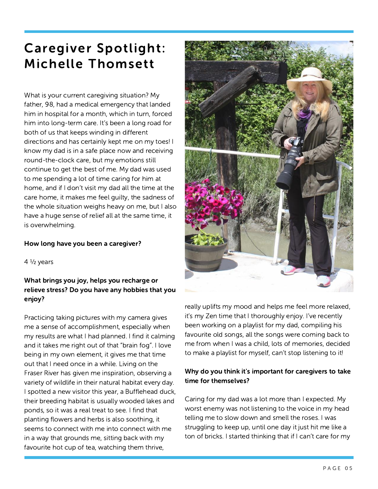## Caregiver Spotlight: Michelle Thomsett

What is your current caregiving situation? My father, 98, had a medical emergency that landed him in hospital for a month, which in turn, forced him into long-term care. It's been a long road for both of us that keeps winding in different directions and has certainly kept me on my toes! I know my dad is in a safe place now and receiving round-the-clock care, but my emotions still continue to get the best of me. My dad was used to me spending a lot of time caring for him at home, and if I don't visit my dad all the time at the care home, it makes me feel guilty, the sadness of the whole situation weighs heavy on me, but I also have a huge sense of relief all at the same time, it is overwhelming.

#### How long have you been a caregiver?

 $4\frac{1}{2}$  years

#### What brings you joy, helps you recharge or relieve stress? Do you have any hobbies that you enjoy?

Practicing taking pictures with my camera gives me a sense of accomplishment, especially when my results are what I had planned. I find it calming and it takes me right out of that "brain fog". I love being in my own element, it gives me that time out that I need once in a while. Living on the Fraser River has given me inspiration, observing a variety of wildlife in their natural habitat every day. I spotted a new visitor this year, a Bufflehead duck, their breeding habitat is usually wooded lakes and ponds, so it was a real treat to see. I find that planting flowers and herbs is also soothing, it seems to connect with me into connect with me in a way that grounds me, sitting back with my favourite hot cup of tea, watching them thrive,



really uplifts my mood and helps me feel more relaxed, it's my Zen time that I thoroughly enjoy. I've recently been working on a playlist for my dad, compiling his favourite old songs, all the songs were coming back to me from when I was a child, lots of memories, decided to make a playlist for myself, can't stop listening to it!

#### Why do you think it's important for caregivers to take time for themselves?

Caring for my dad was a lot more than I expected. My worst enemy was not listening to the voice in my head telling me to slow down and smell the roses. I was struggling to keep up, until one day it just hit me like a ton of bricks. I started thinking that if I can't care for my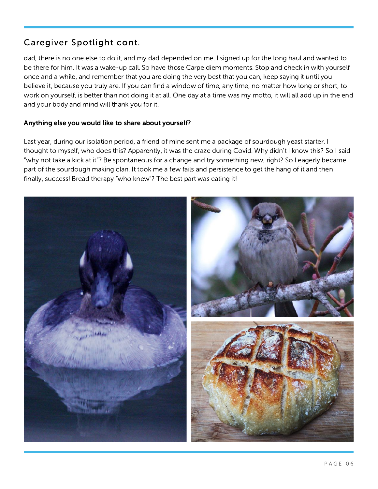#### Caregiver Spotlight cont.

dad, there is no one else to do it, and my dad depended on me. I signed up for the long haul and wanted to be there for him. It was a wake-up call. So have those Carpe diem moments. Stop and check in with yourself once and a while, and remember that you are doing the very best that you can, keep saying it until you believe it, because you truly are. If you can find a window of time, any time, no matter how long or short, to work on yourself, is better than not doing it at all. One day at a time was my motto, it will all add up in the end and your body and mind will thank you for it.

#### Anything else you would like to share about yourself?

Last year, during our isolation period, a friend of mine sent me a package of sourdough yeast starter. I thought to myself, who does this? Apparently, it was the craze during Covid. Why didn't I know this? So I said "why not take a kick at it"? Be spontaneous for a change and try something new, right? So I eagerly became part of the sourdough making clan. It took me a few fails and persistence to get the hang of it and then finally, success! Bread therapy "who knew"? The best part was eating it!

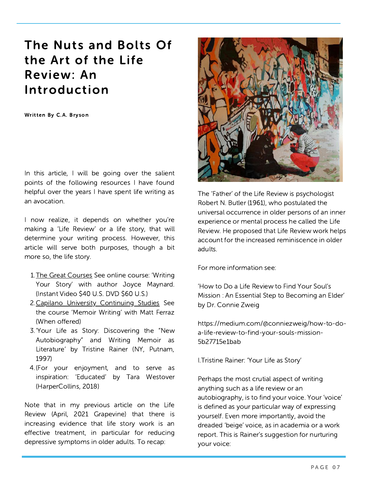### The Nuts and Bolts Of the Art of the Life Review: An Introduction

Written By C.A. Bryson

In this article, I will be going over the salient points of the following resources I have found helpful over the years I have spent life writing as an avocation.

I now realize, it depends on whether you're making a 'Life Review' or a life story, that will determine your writing process. However, this article will serve both purposes, though a bit more so, the life story.

- 1. The Great [Courses](https://www.thegreatcourses.com/) See online course: 'Writing Your Story' with author Joyce Maynard. (Instant Video \$40 U.S. DVD \$60 U.S.)
- 2. Capilano University [Continuing](https://cs.capilanou.ca/) Studies See the course 'Memoir Writing' with Matt Ferraz (When offered)
- 3. 'Your Life as Story: Discovering the "New Autobiography" and Writing Memoir as Literature' by Tristine Rainer (NY, Putnam, 1997)
- 4. (For your enjoyment, and to serve as inspiration: 'Educated' by Tara Westover (HarperCollins, 2018)

Note that in my previous article on the Life Review (April, 2021 Grapevine) that there is increasing evidence that life story work is an effective treatment, in particular for reducing depressive symptoms in older adults. To recap:



The 'Father' of the Life Review is psychologist Robert N. Butler (1961), who postulated the universal occurrence in older persons of an inner experience or mental process he called the Life Review. He proposed that Life Review work helps account for the increased reminiscence in older adults.

For more information see:

'How to Do a Life Review to Find Your Soul's Mission : An Essential Step to Becoming an Elder' by Dr. Connie Zweig

[https://medium.com/@conniezweig/how-to-do](https://medium.com/@conniezweig/how-to-do-a-life-review-to-find-your-souls-mission-5b27715e1bab)a-life-review-to-find-your-souls-mission-5b27715e1bab

I.Tristine Rainer: 'Your Life as Story'

Perhaps the most crutial aspect of writing anything such as a life review or an autobiography, is to find your voice. Your 'voice' is defined as your particular way of expressing yourself. Even more importantly, avoid the dreaded 'beige' voice, as in academia or a work report. This is Rainer's suggestion for nurturing your voice: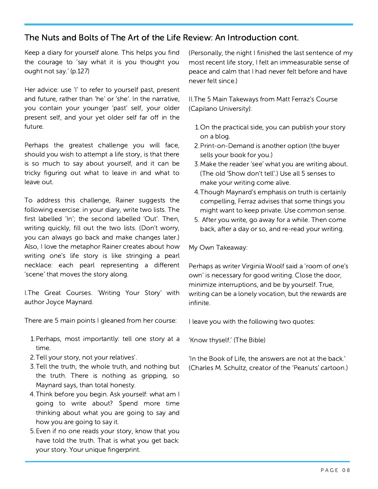#### The Nuts and Bolts of The Art of the Life Review: An Introduction cont.

Keep a diary for yourself alone. This helps you find the courage to 'say what it is you thought you ought not say.' (p.127)

Her advice: use 'I' to refer to yourself past, present and future, rather than 'he' or 'she'. In the narrative, you contain your younger 'past' self, your older present self, and your yet older self far off in the future.

Perhaps the greatest challenge you will face, should you wish to attempt a life story, is that there is so much to say about yourself, and it can be tricky figuring out what to leave in and what to leave out.

To address this challenge, Rainer suggests the following exercise: in your diary, write two lists. The first labelled 'In'; the second labelled 'Out'. Then, writing quickly, fill out the two lists. (Don't worry, you can always go back and make changes later.) Also, I love the metaphor Rainer creates about how writing one's life story is like stringing a pearl necklace: each pearl representing a different 'scene' that moves the story along.

I.The Great Courses. 'Writing Your Story' with author Joyce Maynard.

There are 5 main points I gleaned from her course:

- 1. Perhaps, most importantly: tell one story at a time.
- 2. Tell vour story, not your relatives'.
- 3. Tell the truth, the whole truth, and nothing but the truth. There is nothing as gripping, so Maynard says, than total honesty.
- 4. Think before you begin, Ask yourself: what am I going to write about? Spend more time thinking about what you are going to say and how you are going to say it.
- Even if no one reads your story, know that you 5. have told the truth. That is what you get back: your story. Your unique fingerprint.

(Personally, the night I finished the last sentence of my most recent life story, I felt an immeasurable sense of peace and calm that I had never felt before and have never felt since.)

II.The 5 Main Takeways from Matt Ferraz's Course (Capilano University):

- 1. On the practical side, you can publish your story on a blog.
- 2. Print-on-Demand is another option (the buyer sells your book for you.)
- 3. Make the reader 'see' what you are writing about. (The old 'Show don't tell'.) Use all 5 senses to make your writing come alive.
- 4. Though Maynard's emphasis on truth is certainly compelling, Ferraz advises that some things you might want to keep private. Use common sense.
- 5. After you write, go away for a while. Then come back, after a day or so, and re-read your writing.

My Own Takeaway:

Perhaps as writer Virginia Woolf said a 'room of one's own' is necessary for good writing. Close the door, minimize interruptions, and be by yourself. True, writing can be a lonely vocation, but the rewards are infinite.

I leave you with the following two quotes:

'Know thyself.' (The Bible)

'In the Book of Life, the answers are not at the back.' (Charles M. Schultz, creator of the 'Peanuts' cartoon.)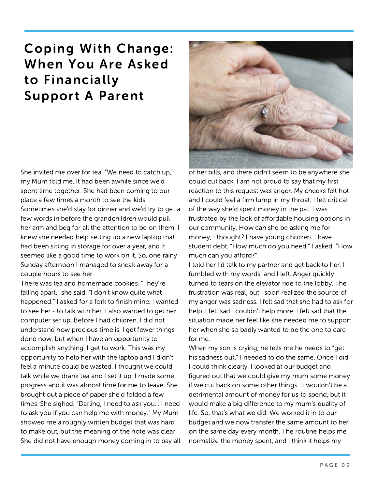## Coping With Change: When You Are Asked to Financially Support A Parent

She invited me over for tea. "We need to catch up," my Mum told me. It had been awhile since we'd spent time together. She had been coming to our place a few times a month to see the kids. Sometimes she'd stay for dinner and we'd try to get a few words in before the grandchildren would pull her arm and beg for all the attention to be on them. I knew she needed help setting up a new laptop that had been sitting in storage for over a year, and it seemed like a good time to work on it. So, one rainy Sunday afternoon I managed to sneak away for a couple hours to see her.

There was tea and homemade cookies. "They're falling apart," she said. "I don't know quite what happened." I asked for a fork to finish mine. I wanted to see her - to talk with her. I also wanted to get her computer set up. Before I had children, I did not understand how precious time is. I get fewer things done now, but when I have an opportunity to accomplish anything, I get to work. This was my opportunity to help her with the laptop and I didn't feel a minute could be wasted. I thought we could talk while we drank tea and I set it up. I made some progress and it was almost time for me to leave. She brought out a piece of paper she'd folded a few times. She sighed. "Darling, I need to ask you… I need to ask you if you can help me with money." My Mum showed me a roughly written budget that was hard to make out, but the meaning of the note was clear. She did not have enough money coming in to pay all



of her bills, and there didn't seem to be anywhere she could cut back. I am not proud to say that my first reaction to this request was anger. My cheeks felt hot and I could feel a firm lump in my throat. I felt critical of the way she'd spent money in the pat. I was frustrated by the lack of affordable housing options in our community. How can she be asking me for money, I thought? I have young children. I have student debt. "How much do you need," I asked. "How much can you afford?"

I told her I'd talk to my partner and get back to her. I fumbled with my words, and I left. Anger quickly turned to tears on the elevator ride to the lobby. The frustration was real, but I soon realized the source of my anger was sadness. I felt sad that she had to ask for help. I felt sad I couldn't help more. I felt sad that the situation made her feel like she needed me to support her when she so badly wanted to be the one to care for me.

When my son is crying, he tells me he needs to "get his sadness out." I needed to do the same. Once I did, I could think clearly. I looked at our budget and figured out that we could give my mum some money if we cut back on some other things. It wouldn't be a detrimental amount of money for us to spend, but it would make a big difference to my mum's quality of life. So, that's what we did. We worked it in to our budget and we now transfer the same amount to her on the same day every month. The routine helps me normalize the money spent, and I think it helps my